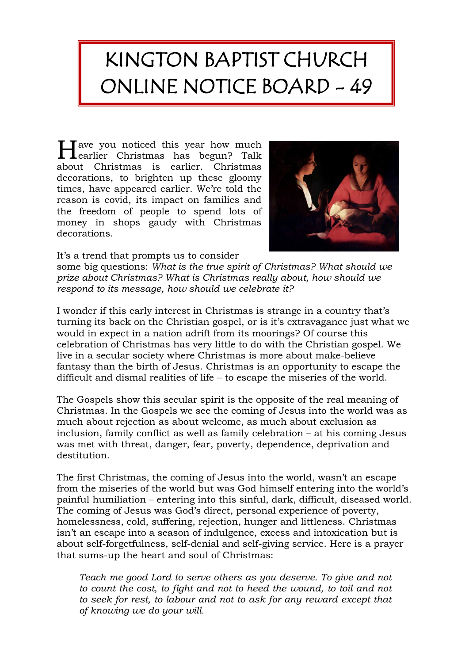## KINGTON BAPTIST CHURCH ONLINE NOTICE BOARD - 49

Have you noticed this year how much<br>the christmas has begun? Talk  $\mathbf 1$ earlier Christmas has begun? Talk about Christmas is earlier. Christmas decorations, to brighten up these gloomy times, have appeared earlier. We're told the reason is covid, its impact on families and the freedom of people to spend lots of money in shops gaudy with Christmas decorations.



It's a trend that prompts us to consider

some big questions: *What is the true spirit of Christmas? What should we prize about Christmas? What is Christmas really about, how should we respond to its message, how should we celebrate it?*

I wonder if this early interest in Christmas is strange in a country that's turning its back on the Christian gospel, or is it's extravagance just what we would in expect in a nation adrift from its moorings? Of course this celebration of Christmas has very little to do with the Christian gospel. We live in a secular society where Christmas is more about make-believe fantasy than the birth of Jesus. Christmas is an opportunity to escape the difficult and dismal realities of life – to escape the miseries of the world.

The Gospels show this secular spirit is the opposite of the real meaning of Christmas. In the Gospels we see the coming of Jesus into the world was as much about rejection as about welcome, as much about exclusion as inclusion, family conflict as well as family celebration – at his coming Jesus was met with threat, danger, fear, poverty, dependence, deprivation and destitution.

The first Christmas, the coming of Jesus into the world, wasn't an escape from the miseries of the world but was God himself entering into the world's painful humiliation – entering into this sinful, dark, difficult, diseased world. The coming of Jesus was God's direct, personal experience of poverty, homelessness, cold, suffering, rejection, hunger and littleness. Christmas isn't an escape into a season of indulgence, excess and intoxication but is about self-forgetfulness, self-denial and self-giving service. Here is a prayer that sums-up the heart and soul of Christmas:

*Teach me good Lord to serve others as you deserve. To give and not to count the cost, to fight and not to heed the wound, to toil and not to seek for rest, to labour and not to ask for any reward except that of knowing we do your will.*